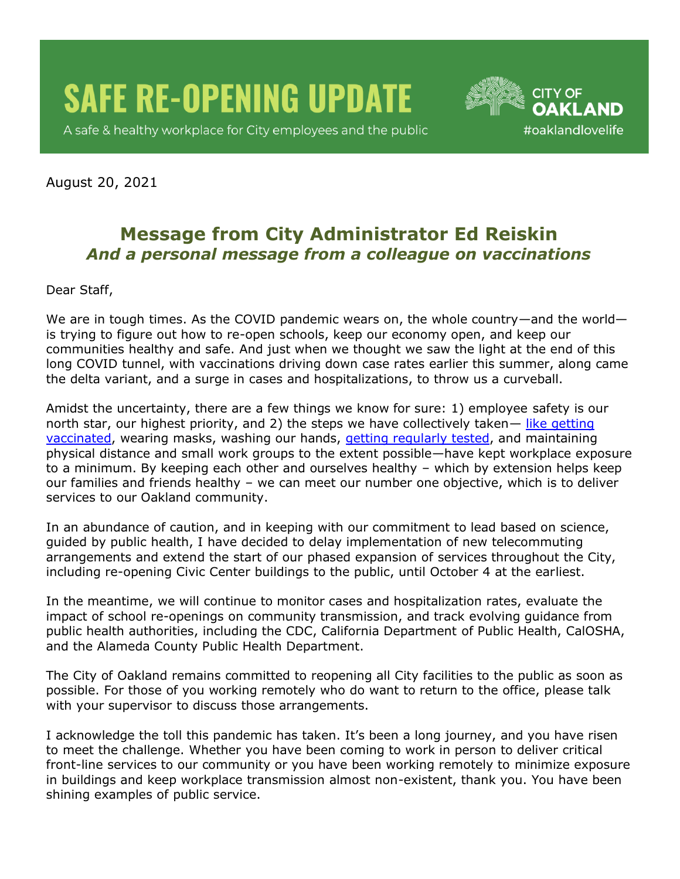**SAFE RE-OPENING UPDATE** 

A safe & healthy workplace for City employees and the public



August 20, 2021

## **Message from City Administrator Ed Reiskin** *And a personal message from a colleague on vaccinations*

Dear Staff,

We are in tough times. As the COVID pandemic wears on, the whole country—and the world is trying to figure out how to re-open schools, keep our economy open, and keep our communities healthy and safe. And just when we thought we saw the light at the end of this long COVID tunnel, with vaccinations driving down case rates earlier this summer, along came the delta variant, and a surge in cases and hospitalizations, to throw us a curveball.

Amidst the uncertainty, there are a few things we know for sure: 1) employee safety is our north star, our highest priority, and 2) the steps we have collectively taken— [like getting](https://covid-19.acgov.org/vaccines)  [vaccinated,](https://covid-19.acgov.org/vaccines) wearing masks, washing our hands, [getting regularly tested,](https://covid-19.acgov.org/testing.page?#Community) and maintaining physical distance and small work groups to the extent possible—have kept workplace exposure to a minimum. By keeping each other and ourselves healthy – which by extension helps keep our families and friends healthy – we can meet our number one objective, which is to deliver services to our Oakland community.

In an abundance of caution, and in keeping with our commitment to lead based on science, guided by public health, I have decided to delay implementation of new telecommuting arrangements and extend the start of our phased expansion of services throughout the City, including re-opening Civic Center buildings to the public, until October 4 at the earliest.

In the meantime, we will continue to monitor cases and hospitalization rates, evaluate the impact of school re-openings on community transmission, and track evolving guidance from public health authorities, including the CDC, California Department of Public Health, CalOSHA, and the Alameda County Public Health Department.

The City of Oakland remains committed to reopening all City facilities to the public as soon as possible. For those of you working remotely who do want to return to the office, please talk with your supervisor to discuss those arrangements.

I acknowledge the toll this pandemic has taken. It's been a long journey, and you have risen to meet the challenge. Whether you have been coming to work in person to deliver critical front-line services to our community or you have been working remotely to minimize exposure in buildings and keep workplace transmission almost non-existent, thank you. You have been shining examples of public service.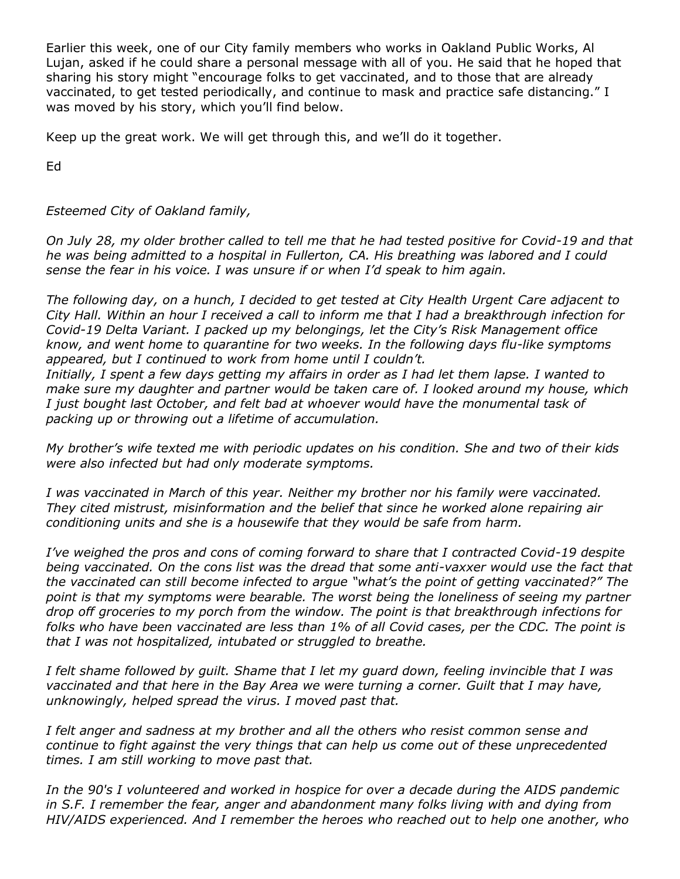Earlier this week, one of our City family members who works in Oakland Public Works, Al Lujan, asked if he could share a personal message with all of you. He said that he hoped that sharing his story might "encourage folks to get vaccinated, and to those that are already vaccinated, to get tested periodically, and continue to mask and practice safe distancing." I was moved by his story, which you'll find below.

Keep up the great work. We will get through this, and we'll do it together.

Ed

## *Esteemed City of Oakland family,*

*On July 28, my older brother called to tell me that he had tested positive for Covid-19 and that he was being admitted to a hospital in Fullerton, CA. His breathing was labored and I could sense the fear in his voice. I was unsure if or when I'd speak to him again.* 

*The following day, on a hunch, I decided to get tested at City Health Urgent Care adjacent to City Hall. Within an hour I received a call to inform me that I had a breakthrough infection for Covid-19 Delta Variant. I packed up my belongings, let the City's Risk Management office know, and went home to quarantine for two weeks. In the following days flu-like symptoms appeared, but I continued to work from home until I couldn't.* 

*Initially, I spent a few days getting my affairs in order as I had let them lapse. I wanted to make sure my daughter and partner would be taken care of. I looked around my house, which I just bought last October, and felt bad at whoever would have the monumental task of packing up or throwing out a lifetime of accumulation.* 

*My brother's wife texted me with periodic updates on his condition. She and two of their kids were also infected but had only moderate symptoms.*

*I was vaccinated in March of this year. Neither my brother nor his family were vaccinated. They cited mistrust, misinformation and the belief that since he worked alone repairing air conditioning units and she is a housewife that they would be safe from harm.* 

*I've weighed the pros and cons of coming forward to share that I contracted Covid-19 despite being vaccinated. On the cons list was the dread that some anti-vaxxer would use the fact that the vaccinated can still become infected to argue "what's the point of getting vaccinated?" The point is that my symptoms were bearable. The worst being the loneliness of seeing my partner drop off groceries to my porch from the window. The point is that breakthrough infections for folks who have been vaccinated are less than 1% of all Covid cases, per the CDC. The point is that I was not hospitalized, intubated or struggled to breathe.* 

*I felt shame followed by guilt. Shame that I let my guard down, feeling invincible that I was vaccinated and that here in the Bay Area we were turning a corner. Guilt that I may have, unknowingly, helped spread the virus. I moved past that.* 

*I felt anger and sadness at my brother and all the others who resist common sense and continue to fight against the very things that can help us come out of these unprecedented times. I am still working to move past that.*

*In the 90's I volunteered and worked in hospice for over a decade during the AIDS pandemic in S.F. I remember the fear, anger and abandonment many folks living with and dying from HIV/AIDS experienced. And I remember the heroes who reached out to help one another, who*